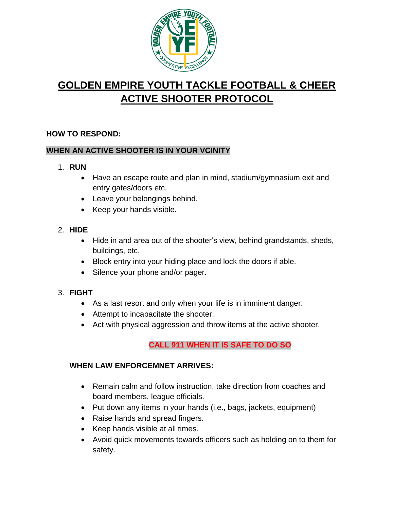

# **GOLDEN EMPIRE YOUTH TACKLE FOOTBALL & CHEER ACTIVE SHOOTER PROTOCOL**

## **HOW TO RESPOND:**

## **WHEN AN ACTIVE SHOOTER IS IN YOUR VCINITY**

- 1. **RUN**
	- Have an escape route and plan in mind, stadium/gymnasium exit and entry gates/doors etc.
	- Leave your belongings behind.
	- Keep your hands visible.
- 2. **HIDE**
	- Hide in and area out of the shooter's view, behind grandstands, sheds, buildings, etc.
	- Block entry into your hiding place and lock the doors if able.
	- Silence your phone and/or pager.

## 3. **FIGHT**

- As a last resort and only when your life is in imminent danger.
- Attempt to incapacitate the shooter.
- Act with physical aggression and throw items at the active shooter.

## **CALL 911 WHEN IT IS SAFE TO DO SO**

### **WHEN LAW ENFORCEMNET ARRIVES:**

- Remain calm and follow instruction, take direction from coaches and board members, league officials.
- Put down any items in your hands (i.e., bags, jackets, equipment)
- Raise hands and spread fingers.
- Keep hands visible at all times.
- Avoid quick movements towards officers such as holding on to them for safety.